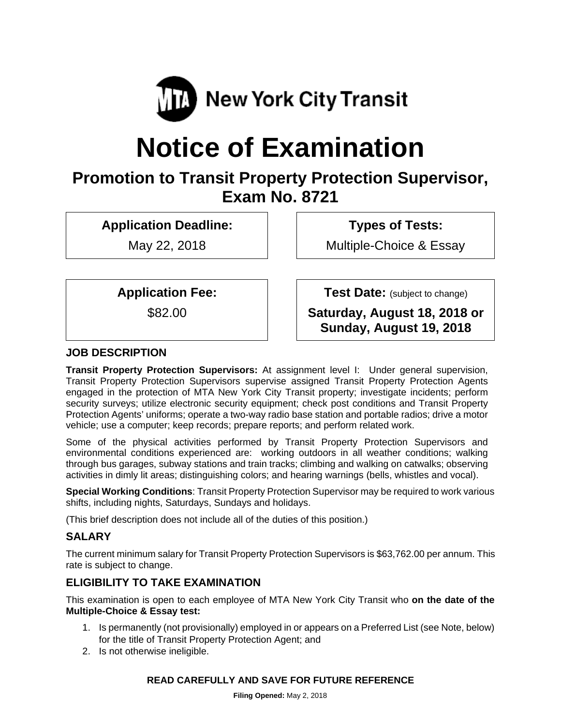

# **Notice of Examination**

# **Promotion to Transit Property Protection Supervisor, Exam No. 8721**

**Application Deadline:** 

May 22, 2018

 **Types of Tests:** 

Multiple-Choice & Essay

**Application Fee:** 

\$82.00

**Test Date:** (subject to change)

**Saturday, August 18, 2018 or Sunday, August 19, 2018** 

# **JOB DESCRIPTION**

**Transit Property Protection Supervisors:** At assignment level I: Under general supervision, Transit Property Protection Supervisors supervise assigned Transit Property Protection Agents engaged in the protection of MTA New York City Transit property; investigate incidents; perform security surveys; utilize electronic security equipment; check post conditions and Transit Property Protection Agents' uniforms; operate a two-way radio base station and portable radios; drive a motor vehicle; use a computer; keep records; prepare reports; and perform related work.

Some of the physical activities performed by Transit Property Protection Supervisors and environmental conditions experienced are: working outdoors in all weather conditions; walking through bus garages, subway stations and train tracks; climbing and walking on catwalks; observing activities in dimly lit areas; distinguishing colors; and hearing warnings (bells, whistles and vocal).

**Special Working Conditions**: Transit Property Protection Supervisor may be required to work various shifts, including nights, Saturdays, Sundays and holidays.

(This brief description does not include all of the duties of this position.)

# **SALARY**

The current minimum salary for Transit Property Protection Supervisors is \$63,762.00 per annum. This rate is subject to change.

# **ELIGIBILITY TO TAKE EXAMINATION**

This examination is open to each employee of MTA New York City Transit who **on the date of the Multiple-Choice & Essay test:** 

- 1. Is permanently (not provisionally) employed in or appears on a Preferred List (see Note, below) for the title of Transit Property Protection Agent; and
- 2. Is not otherwise ineligible.

# **READ CAREFULLY AND SAVE FOR FUTURE REFERENCE**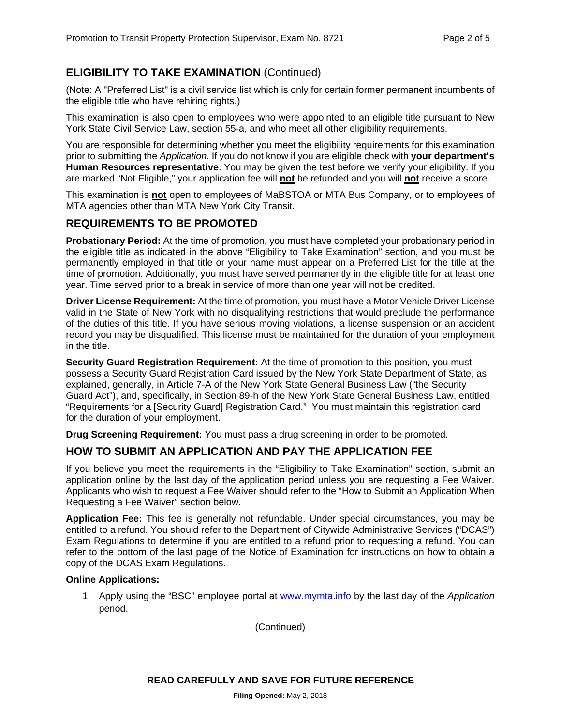# **ELIGIBILITY TO TAKE EXAMINATION** (Continued)

(Note: A "Preferred List" is a civil service list which is only for certain former permanent incumbents of the eligible title who have rehiring rights.)

This examination is also open to employees who were appointed to an eligible title pursuant to New York State Civil Service Law, section 55-a, and who meet all other eligibility requirements.

You are responsible for determining whether you meet the eligibility requirements for this examination prior to submitting the *Application*. If you do not know if you are eligible check with **your department's Human Resources representative**. You may be given the test before we verify your eligibility. If you are marked "Not Eligible," your application fee will **not** be refunded and you will **not** receive a score.

This examination is **not** open to employees of MaBSTOA or MTA Bus Company, or to employees of MTA agencies other than MTA New York City Transit.

# **REQUIREMENTS TO BE PROMOTED**

**Probationary Period:** At the time of promotion, you must have completed your probationary period in the eligible title as indicated in the above "Eligibility to Take Examination" section, and you must be permanently employed in that title or your name must appear on a Preferred List for the title at the time of promotion. Additionally, you must have served permanently in the eligible title for at least one year. Time served prior to a break in service of more than one year will not be credited.

**Driver License Requirement:** At the time of promotion, you must have a Motor Vehicle Driver License valid in the State of New York with no disqualifying restrictions that would preclude the performance of the duties of this title. If you have serious moving violations, a license suspension or an accident record you may be disqualified. This license must be maintained for the duration of your employment in the title.

**Security Guard Registration Requirement:** At the time of promotion to this position, you must possess a Security Guard Registration Card issued by the New York State Department of State, as explained, generally, in Article 7-A of the New York State General Business Law ("the Security Guard Act"), and, specifically, in Section 89-h of the New York State General Business Law, entitled "Requirements for a [Security Guard] Registration Card." You must maintain this registration card for the duration of your employment.

**Drug Screening Requirement:** You must pass a drug screening in order to be promoted.

# **HOW TO SUBMIT AN APPLICATION AND PAY THE APPLICATION FEE**

If you believe you meet the requirements in the "Eligibility to Take Examination" section, submit an application online by the last day of the application period unless you are requesting a Fee Waiver. Applicants who wish to request a Fee Waiver should refer to the "How to Submit an Application When Requesting a Fee Waiver" section below.

**Application Fee:** This fee is generally not refundable. Under special circumstances, you may be entitled to a refund. You should refer to the Department of Citywide Administrative Services ("DCAS") Exam Regulations to determine if you are entitled to a refund prior to requesting a refund. You can refer to the bottom of the last page of the Notice of Examination for instructions on how to obtain a copy of the DCAS Exam Regulations.

#### **Online Applications:**

1. Apply using the "BSC" employee portal at www.mymta.info by the last day of the *Application*  period.

(Continued)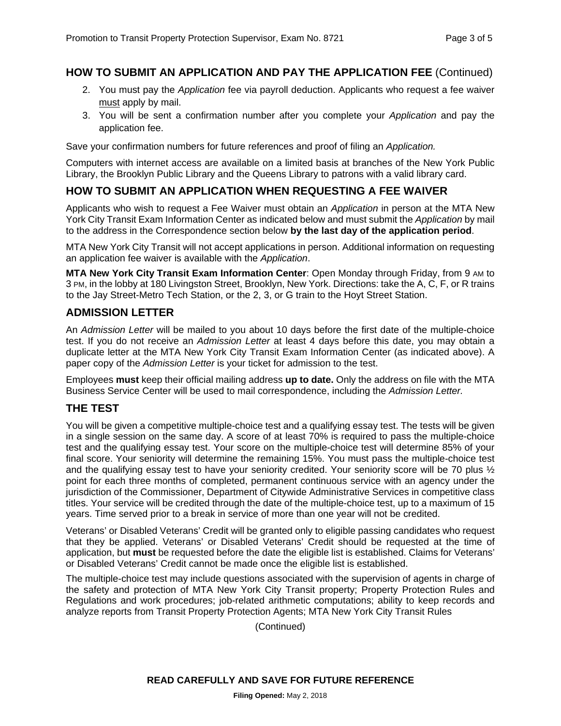# **HOW TO SUBMIT AN APPLICATION AND PAY THE APPLICATION FEE** (Continued)

- 2. You must pay the *Application* fee via payroll deduction. Applicants who request a fee waiver must apply by mail.
- 3. You will be sent a confirmation number after you complete your *Application* and pay the application fee.

Save your confirmation numbers for future references and proof of filing an *Application.*

Computers with internet access are available on a limited basis at branches of the New York Public Library, the Brooklyn Public Library and the Queens Library to patrons with a valid library card.

# **HOW TO SUBMIT AN APPLICATION WHEN REQUESTING A FEE WAIVER**

Applicants who wish to request a Fee Waiver must obtain an *Application* in person at the MTA New York City Transit Exam Information Center as indicated below and must submit the *Application* by mail to the address in the Correspondence section below **by the last day of the application period**.

MTA New York City Transit will not accept applications in person. Additional information on requesting an application fee waiver is available with the *Application*.

**MTA New York City Transit Exam Information Center**: Open Monday through Friday, from 9 AM to 3 PM, in the lobby at 180 Livingston Street, Brooklyn, New York. Directions: take the A, C, F, or R trains to the Jay Street-Metro Tech Station, or the 2, 3, or G train to the Hoyt Street Station.

#### **ADMISSION LETTER**

An *Admission Letter* will be mailed to you about 10 days before the first date of the multiple-choice test. If you do not receive an *Admission Letter* at least 4 days before this date, you may obtain a duplicate letter at the MTA New York City Transit Exam Information Center (as indicated above). A paper copy of the *Admission Letter* is your ticket for admission to the test.

Employees **must** keep their official mailing address **up to date.** Only the address on file with the MTA Business Service Center will be used to mail correspondence, including the *Admission Letter.*

# **THE TEST**

You will be given a competitive multiple-choice test and a qualifying essay test. The tests will be given in a single session on the same day. A score of at least 70% is required to pass the multiple-choice test and the qualifying essay test. Your score on the multiple-choice test will determine 85% of your final score. Your seniority will determine the remaining 15%. You must pass the multiple-choice test and the qualifying essay test to have your seniority credited. Your seniority score will be 70 plus  $\frac{1}{2}$ point for each three months of completed, permanent continuous service with an agency under the jurisdiction of the Commissioner, Department of Citywide Administrative Services in competitive class titles. Your service will be credited through the date of the multiple-choice test, up to a maximum of 15 years. Time served prior to a break in service of more than one year will not be credited.

Veterans' or Disabled Veterans' Credit will be granted only to eligible passing candidates who request that they be applied. Veterans' or Disabled Veterans' Credit should be requested at the time of application, but **must** be requested before the date the eligible list is established. Claims for Veterans' or Disabled Veterans' Credit cannot be made once the eligible list is established.

The multiple-choice test may include questions associated with the supervision of agents in charge of the safety and protection of MTA New York City Transit property; Property Protection Rules and Regulations and work procedures; job-related arithmetic computations; ability to keep records and analyze reports from Transit Property Protection Agents; MTA New York City Transit Rules

(Continued)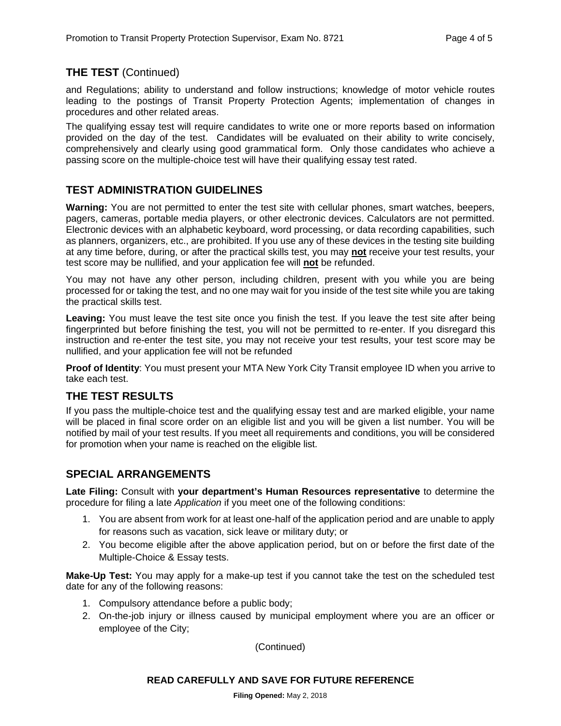# **THE TEST** (Continued)

and Regulations; ability to understand and follow instructions; knowledge of motor vehicle routes leading to the postings of Transit Property Protection Agents; implementation of changes in procedures and other related areas.

The qualifying essay test will require candidates to write one or more reports based on information provided on the day of the test. Candidates will be evaluated on their ability to write concisely, comprehensively and clearly using good grammatical form. Only those candidates who achieve a passing score on the multiple-choice test will have their qualifying essay test rated.

# **TEST ADMINISTRATION GUIDELINES**

**Warning:** You are not permitted to enter the test site with cellular phones, smart watches, beepers, pagers, cameras, portable media players, or other electronic devices. Calculators are not permitted. Electronic devices with an alphabetic keyboard, word processing, or data recording capabilities, such as planners, organizers, etc., are prohibited. If you use any of these devices in the testing site building at any time before, during, or after the practical skills test, you may **not** receive your test results, your test score may be nullified, and your application fee will **not** be refunded.

You may not have any other person, including children, present with you while you are being processed for or taking the test, and no one may wait for you inside of the test site while you are taking the practical skills test.

**Leaving:** You must leave the test site once you finish the test. If you leave the test site after being fingerprinted but before finishing the test, you will not be permitted to re-enter. If you disregard this instruction and re-enter the test site, you may not receive your test results, your test score may be nullified, and your application fee will not be refunded

**Proof of Identity**: You must present your MTA New York City Transit employee ID when you arrive to take each test.

# **THE TEST RESULTS**

If you pass the multiple-choice test and the qualifying essay test and are marked eligible, your name will be placed in final score order on an eligible list and you will be given a list number. You will be notified by mail of your test results. If you meet all requirements and conditions, you will be considered for promotion when your name is reached on the eligible list.

# **SPECIAL ARRANGEMENTS**

**Late Filing:** Consult with **your department's Human Resources representative** to determine the procedure for filing a late *Application* if you meet one of the following conditions:

- 1. You are absent from work for at least one-half of the application period and are unable to apply for reasons such as vacation, sick leave or military duty; or
- 2. You become eligible after the above application period, but on or before the first date of the Multiple-Choice & Essay tests.

**Make-Up Test:** You may apply for a make-up test if you cannot take the test on the scheduled test date for any of the following reasons:

- 1. Compulsory attendance before a public body;
- 2. On-the-job injury or illness caused by municipal employment where you are an officer or employee of the City;

(Continued)

#### **READ CAREFULLY AND SAVE FOR FUTURE REFERENCE**